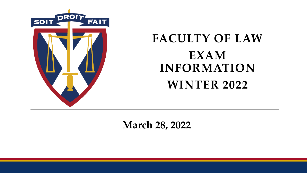

#### **FACULTY OF LAW EXAM INFORMATION WINTER 2022**

**March 28, 2022**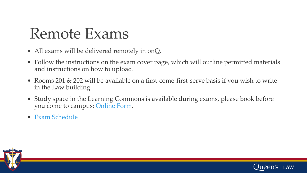### Remote Exams

- All exams will be delivered remotely in onQ.
- Follow the instructions on the exam cover page, which will outline permitted materials and instructions on how to upload.
- Rooms 201 & 202 will be available on a first-come-first-serve basis if you wish to write in the Law building.
- Study space in the Learning Commons is available during exams, please book before you come to campus: [Online Form](https://outlook.office365.com/owa/calendar/BOOKINGS_LAW_Faculty_of_Law_Study_Space@queensuca.onmicrosoft.com/bookings/).
- [Exam Schedule](https://law.queensu.ca/programs/jd/academic-program/course-information/exam-schedule)



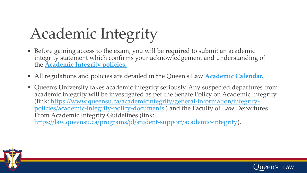# Academic Integrity

- Before gaining access to the exam, you will be required to submit an academic integrity statement which confirms your acknowledgement and understanding of the **[Academic Integrity policies.](https://law.queensu.ca/sites/default/files/img/Programs/JD%20Program/Academic%20Program/Academic%20Integrity/Queen)**
- All regulations and policies are detailed in the Queen's Law **[Academic Calendar.](https://law.queensu.ca/programs/jd/student-support/academic-calendar)**
- Queen's University takes academic integrity seriously. Any suspected departures from academic integrity will be investigated as per the Senate Policy on Academic Integrity [\(link: https://www.queensu.ca/academicintegrity/general-information/integrity](https://www.queensu.ca/academicintegrity/general-information/integrity-policies/academic-integrity-policy-documents)policies/academic-integrity-policy-documents ) and the Faculty of Law Departures From Academic Integrity Guidelines (link:

<https://law.queensu.ca/programs/jd/student-support/academic-integrity>).



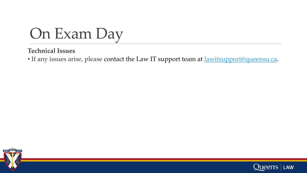

#### **Technical Issues**

• If any issues arise, please contact the Law IT support team at **[lawitsupport@queensu.ca](mailto:lawitsupport@queensu.ca)**.



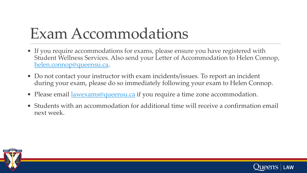## Exam Accommodations

- If you require accommodations for exams, please ensure you have registered with Student Wellness Services. Also send your Letter of Accommodation to Helen Connop, [helen.connop@queensu.ca](mailto:helen.connop@queensu.ca).
- Do not contact your instructor with exam incidents/issues. To report an incident during your exam, please do so immediately following your exam to Helen Connop.
- Please email <u>lawexams@queensu.ca</u> if you require a time zone accommodation.
- Students with an accommodation for additional time will receive a confirmation email next week.



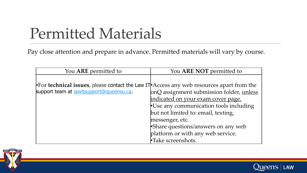### Permitted Materials

Pay close attention and prepare in advance. Permitted materials will vary by course.

| You ARE permitted to                                                                                      | You ARE NOT permitted to                 |
|-----------------------------------------------------------------------------------------------------------|------------------------------------------|
|                                                                                                           |                                          |
| <b>•For technical issues</b> , please contact the Law IT <b>•</b> Access any web resources apart from the |                                          |
| support team at lawitsupport@queensu.ca.                                                                  | onQ assignment submission folder, unless |
|                                                                                                           | indicated on your exam cover page.       |
|                                                                                                           | •Use any communication tools including   |
|                                                                                                           | but not limited to: email, texting,      |
|                                                                                                           | messenger, etc.                          |
|                                                                                                           | • Share questions/answers on any web     |
|                                                                                                           | platform or with any web service.        |
|                                                                                                           | •Take screenshots.                       |



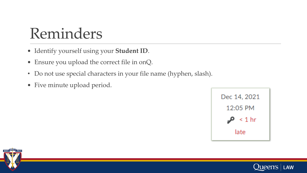#### Reminders

- Identify yourself using your **Student ID**.
- Ensure you upload the correct file in onQ.
- Do not use special characters in your file name (hyphen, slash).
- Five minute upload period.